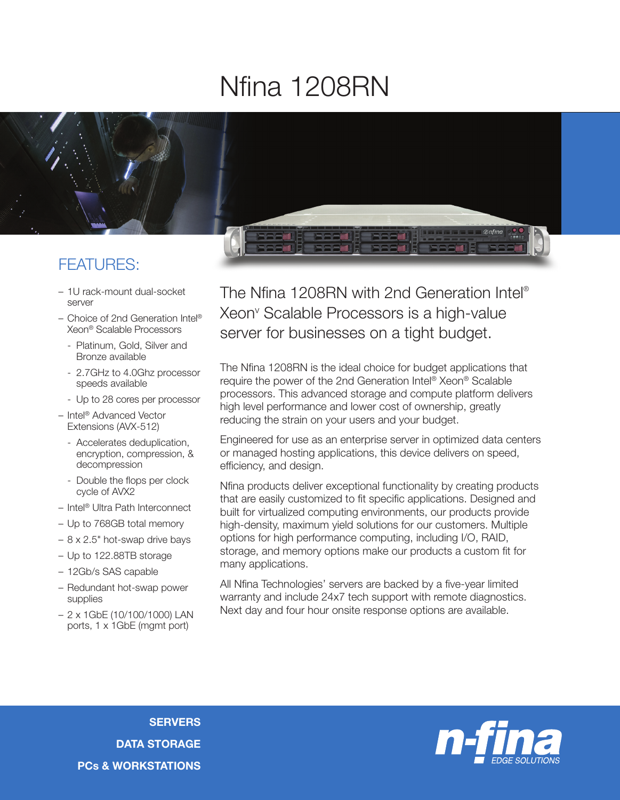## Nfina 1208RN



## FEATURES:

- 1U rack-mount dual-socket server
- Choice of 2nd Generation Intel® Xeon® Scalable Processors
	- Platinum, Gold, Silver and Bronze available
	- 2.7GHz to 4.0Ghz processor speeds available
	- Up to 28 cores per processor
- Intel® Advanced Vector Extensions (AVX-512)
	- Accelerates deduplication, encryption, compression, & decompression
	- Double the flops per clock cycle of AVX2
- Intel® Ultra Path Interconnect
- Up to 768GB total memory
- 8 x 2.5" hot-swap drive bays
- Up to 122.88TB storage
- 12Gb/s SAS capable
- Redundant hot-swap power supplies
- 2 x 1GbE (10/100/1000) LAN ports, 1 x 1GbE (mgmt port)

The Nfina 1208RN with 2nd Generation Intel® Xeonv Scalable Processors is a high-value server for businesses on a tight budget.

The Nfina 1208RN is the ideal choice for budget applications that require the power of the 2nd Generation Intel® Xeon® Scalable processors. This advanced storage and compute platform delivers high level performance and lower cost of ownership, greatly reducing the strain on your users and your budget.

Engineered for use as an enterprise server in optimized data centers or managed hosting applications, this device delivers on speed, efficiency, and design.

Nfina products deliver exceptional functionality by creating products that are easily customized to fit specific applications. Designed and built for virtualized computing environments, our products provide high-density, maximum yield solutions for our customers. Multiple options for high performance computing, including I/O, RAID, storage, and memory options make our products a custom fit for many applications.

All Nfina Technologies' servers are backed by a five-year limited warranty and include 24x7 tech support with remote diagnostics. Next day and four hour onsite response options are available.



**SERVERS** DATA STORAGE PCs & WORKSTATIONS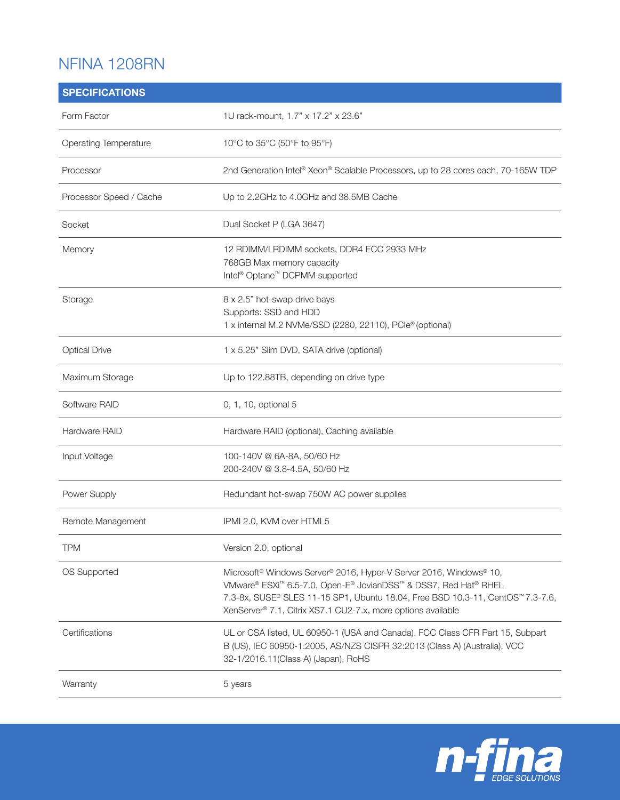## NFINA 1208RN

| <b>SPECIFICATIONS</b>   |                                                                                                                                                                                                                                                                                                                |
|-------------------------|----------------------------------------------------------------------------------------------------------------------------------------------------------------------------------------------------------------------------------------------------------------------------------------------------------------|
| Form Factor             | 1U rack-mount, 1.7" x 17.2" x 23.6"                                                                                                                                                                                                                                                                            |
| Operating Temperature   | 10°C to 35°C (50°F to 95°F)                                                                                                                                                                                                                                                                                    |
| Processor               | 2nd Generation Intel® Xeon® Scalable Processors, up to 28 cores each, 70-165W TDP                                                                                                                                                                                                                              |
| Processor Speed / Cache | Up to 2.2GHz to 4.0GHz and 38.5MB Cache                                                                                                                                                                                                                                                                        |
| Socket                  | Dual Socket P (LGA 3647)                                                                                                                                                                                                                                                                                       |
| Memory                  | 12 RDIMM/LRDIMM sockets, DDR4 ECC 2933 MHz<br>768GB Max memory capacity<br>Intel <sup>®</sup> Optane <sup>™</sup> DCPMM supported                                                                                                                                                                              |
| Storage                 | 8 x 2.5" hot-swap drive bays<br>Supports: SSD and HDD<br>1 x internal M.2 NVMe/SSD (2280, 22110), PCle® (optional)                                                                                                                                                                                             |
| <b>Optical Drive</b>    | 1 x 5.25" Slim DVD, SATA drive (optional)                                                                                                                                                                                                                                                                      |
| Maximum Storage         | Up to 122.88TB, depending on drive type                                                                                                                                                                                                                                                                        |
| Software RAID           | 0, 1, 10, optional 5                                                                                                                                                                                                                                                                                           |
| Hardware RAID           | Hardware RAID (optional), Caching available                                                                                                                                                                                                                                                                    |
| Input Voltage           | 100-140V @ 6A-8A, 50/60 Hz<br>200-240V @ 3.8-4.5A, 50/60 Hz                                                                                                                                                                                                                                                    |
| Power Supply            | Redundant hot-swap 750W AC power supplies                                                                                                                                                                                                                                                                      |
| Remote Management       | IPMI 2.0, KVM over HTML5                                                                                                                                                                                                                                                                                       |
| <b>TPM</b>              | Version 2.0, optional                                                                                                                                                                                                                                                                                          |
| OS Supported            | Microsoft <sup>®</sup> Windows Server® 2016, Hyper-V Server 2016, Windows® 10,<br>VMware® ESXi <sup>™</sup> 6.5-7.0, Open-E® JovianDSS™ & DSS7, Red Hat® RHEL<br>7.3-8x, SUSE® SLES 11-15 SP1, Ubuntu 18.04, Free BSD 10.3-11, CentOS™7.3-7.6,<br>XenServer® 7.1, Citrix XS7.1 CU2-7.x, more options available |
| Certifications          | UL or CSA listed, UL 60950-1 (USA and Canada), FCC Class CFR Part 15, Subpart<br>B (US), IEC 60950-1:2005, AS/NZS CISPR 32:2013 (Class A) (Australia), VCC<br>32-1/2016.11(Class A) (Japan), RoHS                                                                                                              |
| Warranty                | 5 years                                                                                                                                                                                                                                                                                                        |